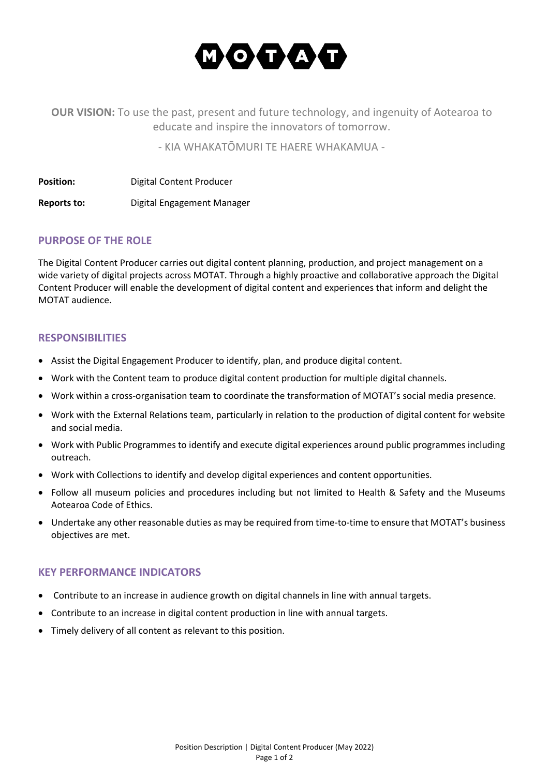

**OUR VISION:** To use the past, present and future technology, and ingenuity of Aotearoa to educate and inspire the innovators of tomorrow.

- KIA WHAKATŌMURI TE HAERE WHAKAMUA -

**Position:** Digital Content Producer

**Reports to:** Digital Engagement Manager

## **PURPOSE OF THE ROLE**

The Digital Content Producer carries out digital content planning, production, and project management on a wide variety of digital projects across MOTAT. Through a highly proactive and collaborative approach the Digital Content Producer will enable the development of digital content and experiences that inform and delight the MOTAT audience.

## **RESPONSIBILITIES**

- Assist the Digital Engagement Producer to identify, plan, and produce digital content.
- Work with the Content team to produce digital content production for multiple digital channels.
- Work within a cross-organisation team to coordinate the transformation of MOTAT's social media presence.
- Work with the External Relations team, particularly in relation to the production of digital content for website and social media.
- Work with Public Programmes to identify and execute digital experiences around public programmes including outreach.
- Work with Collections to identify and develop digital experiences and content opportunities.
- Follow all museum policies and procedures including but not limited to Health & Safety and the Museums Aotearoa Code of Ethics.
- Undertake any other reasonable duties as may be required from time-to-time to ensure that MOTAT's business objectives are met.

#### **KEY PERFORMANCE INDICATORS**

- Contribute to an increase in audience growth on digital channels in line with annual targets.
- Contribute to an increase in digital content production in line with annual targets.
- Timely delivery of all content as relevant to this position.